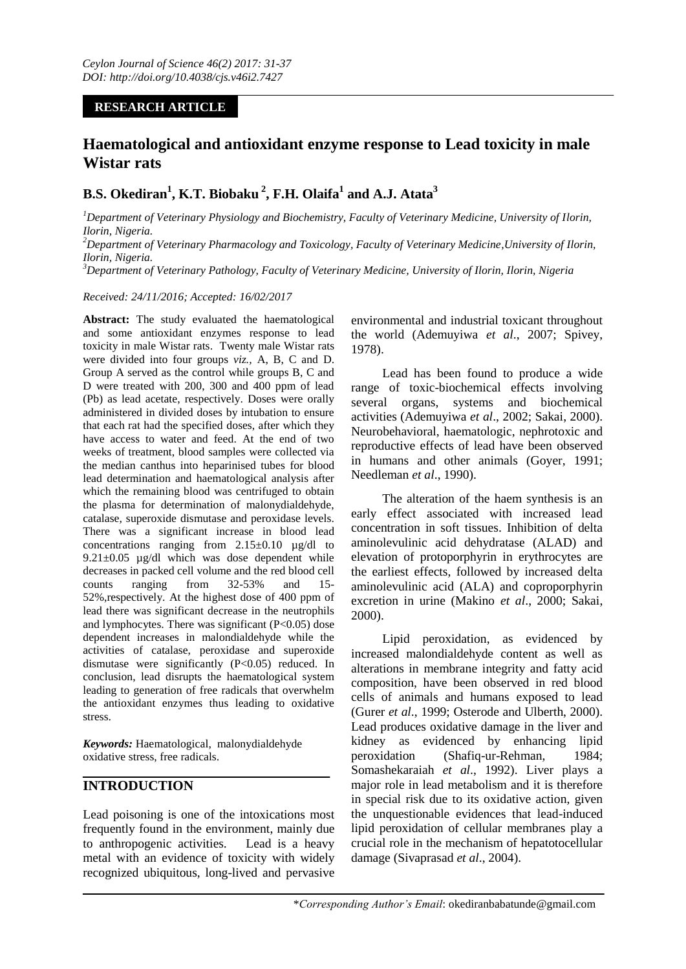### **RESEARCH ARTICLE**

# **Haematological and antioxidant enzyme response to Lead toxicity in male Wistar rats**

## **B.S. Okediran<sup>1</sup> , K.T. Biobaku <sup>2</sup> , F.H. Olaifa<sup>1</sup> and A.J. Atata<sup>3</sup>**

*<sup>1</sup>Department of Veterinary Physiology and Biochemistry, Faculty of Veterinary Medicine, University of Ilorin, Ilorin, Nigeria.*

*<sup>2</sup>Department of Veterinary Pharmacology and Toxicology, Faculty of Veterinary Medicine,University of Ilorin, Ilorin, Nigeria.*

*<sup>3</sup>Department of Veterinary Pathology, Faculty of Veterinary Medicine, University of Ilorin, Ilorin, Nigeria*

*Received: 24/11/2016; Accepted: 16/02/2017*

**Abstract:** The study evaluated the haematological and some antioxidant enzymes response to lead toxicity in male Wistar rats. Twenty male Wistar rats were divided into four groups *viz.,* A, B, C and D. Group A served as the control while groups B, C and D were treated with 200, 300 and 400 ppm of lead (Pb) as lead acetate, respectively. Doses were orally administered in divided doses by intubation to ensure that each rat had the specified doses, after which they have access to water and feed. At the end of two weeks of treatment, blood samples were collected via the median canthus into heparinised tubes for blood lead determination and haematological analysis after which the remaining blood was centrifuged to obtain the plasma for determination of malonydialdehyde, catalase, superoxide dismutase and peroxidase levels. There was a significant increase in blood lead concentrations ranging from  $2.15\pm0.10$   $\mu$ g/dl to  $9.21 \pm 0.05$  µg/dl which was dose dependent while decreases in packed cell volume and the red blood cell counts ranging from 32-53% and 15- 52%,respectively. At the highest dose of 400 ppm of lead there was significant decrease in the neutrophils and lymphocytes. There was significant  $(P<0.05)$  dose dependent increases in malondialdehyde while the activities of catalase, peroxidase and superoxide dismutase were significantly (P<0.05) reduced. In conclusion, lead disrupts the haematological system leading to generation of free radicals that overwhelm the antioxidant enzymes thus leading to oxidative stress.

*Keywords:* Haematological, malonydialdehyde oxidative stress, free radicals.

### **INTRODUCTION**

Lead poisoning is one of the intoxications most frequently found in the environment, mainly due to anthropogenic activities. Lead is a heavy metal with an evidence of toxicity with widely recognized ubiquitous, long-lived and pervasive environmental and industrial toxicant throughout the world (Ademuyiwa *et al*., 2007; Spivey, 1978).

Lead has been found to produce a wide range of toxic-biochemical effects involving several organs, systems and biochemical activities (Ademuyiwa *et al*., 2002; Sakai, 2000). Neurobehavioral, haematologic, nephrotoxic and reproductive effects of lead have been observed in humans and other animals (Goyer, 1991; Needleman *et al*., 1990).

The alteration of the haem synthesis is an early effect associated with increased lead concentration in soft tissues. Inhibition of delta aminolevulinic acid dehydratase (ALAD) and elevation of protoporphyrin in erythrocytes are the earliest effects, followed by increased delta aminolevulinic acid (ALA) and coproporphyrin excretion in urine (Makino *et al*., 2000; Sakai, 2000).

Lipid peroxidation, as evidenced by increased malondialdehyde content as well as alterations in membrane integrity and fatty acid composition, have been observed in red blood cells of animals and humans exposed to lead (Gurer *et al*., 1999; Osterode and Ulberth, 2000). Lead produces oxidative damage in the liver and kidney as evidenced by enhancing lipid peroxidation (Shafiq-ur-Rehman, 1984; Somashekaraiah *et al*., 1992). Liver plays a major role in lead metabolism and it is therefore in special risk due to its oxidative action, given the unquestionable evidences that lead-induced lipid peroxidation of cellular membranes play a crucial role in the mechanism of hepatotocellular damage (Sivaprasad *et al*., 2004).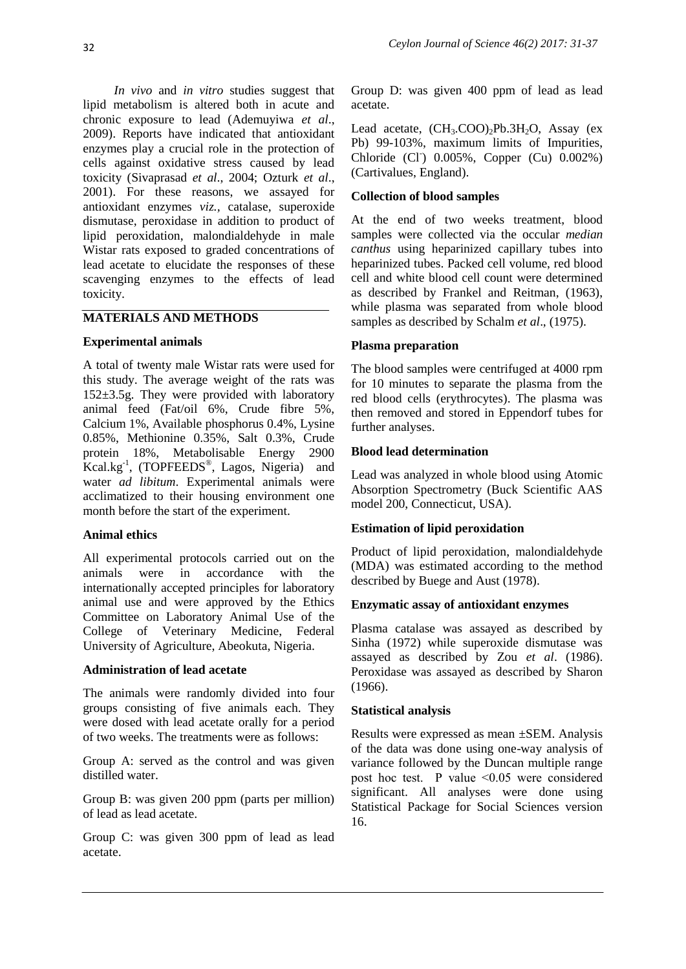*In vivo* and *in vitro* studies suggest that lipid metabolism is altered both in acute and chronic exposure to lead (Ademuyiwa *et al*., 2009). Reports have indicated that antioxidant enzymes play a crucial role in the protection of cells against oxidative stress caused by lead toxicity (Sivaprasad *et al*., 2004; Ozturk *et al*., 2001). For these reasons, we assayed for antioxidant enzymes *viz.,* catalase, superoxide dismutase, peroxidase in addition to product of lipid peroxidation, malondialdehyde in male Wistar rats exposed to graded concentrations of lead acetate to elucidate the responses of these scavenging enzymes to the effects of lead toxicity.

### **MATERIALS AND METHODS**

#### **Experimental animals**

A total of twenty male Wistar rats were used for this study. The average weight of the rats was 152±3.5g. They were provided with laboratory animal feed (Fat/oil 6%, Crude fibre 5%, Calcium 1%, Available phosphorus 0.4%, Lysine 0.85%, Methionine 0.35%, Salt 0.3%, Crude protein 18%, Metabolisable Energy 2900  $Kcal.kg^{-1}$ , (TOPFEEDS<sup>®</sup>, Lagos, Nigeria) and water *ad libitum*. Experimental animals were acclimatized to their housing environment one month before the start of the experiment.

#### **Animal ethics**

All experimental protocols carried out on the animals were in accordance with the internationally accepted principles for laboratory animal use and were approved by the Ethics Committee on Laboratory Animal Use of the College of Veterinary Medicine, Federal University of Agriculture, Abeokuta, Nigeria.

### **Administration of lead acetate**

The animals were randomly divided into four groups consisting of five animals each. They were dosed with lead acetate orally for a period of two weeks. The treatments were as follows:

Group A: served as the control and was given distilled water.

Group B: was given 200 ppm (parts per million) of lead as lead acetate.

Group C: was given 300 ppm of lead as lead acetate.

Group D: was given 400 ppm of lead as lead acetate.

Lead acetate,  $(CH_3, COO)$ ,  $Pb.3H_2O$ , Assay (ex Pb) 99-103%, maximum limits of Impurities, Chloride (CI)  $0.005\%$ , Copper (Cu)  $0.002\%$ ) (Cartivalues, England).

### **Collection of blood samples**

At the end of two weeks treatment, blood samples were collected via the occular *median canthus* using heparinized capillary tubes into heparinized tubes. Packed cell volume, red blood cell and white blood cell count were determined as described by Frankel and Reitman, (1963), while plasma was separated from whole blood samples as described by Schalm *et al*., (1975).

### **Plasma preparation**

The blood samples were centrifuged at 4000 rpm for 10 minutes to separate the plasma from the red blood cells (erythrocytes). The plasma was then removed and stored in Eppendorf tubes for further analyses.

#### **Blood lead determination**

Lead was analyzed in whole blood using Atomic Absorption Spectrometry (Buck Scientific AAS model 200, Connecticut, USA).

#### **Estimation of lipid peroxidation**

Product of lipid peroxidation, malondialdehyde (MDA) was estimated according to the method described by Buege and Aust (1978).

#### **Enzymatic assay of antioxidant enzymes**

Plasma catalase was assayed as described by Sinha (1972) while superoxide dismutase was assayed as described by Zou *et al*. (1986). Peroxidase was assayed as described by Sharon (1966).

### **Statistical analysis**

Results were expressed as mean ±SEM. Analysis of the data was done using one-way analysis of variance followed by the Duncan multiple range post hoc test. P value ˂0.05 were considered significant. All analyses were done using Statistical Package for Social Sciences version 16.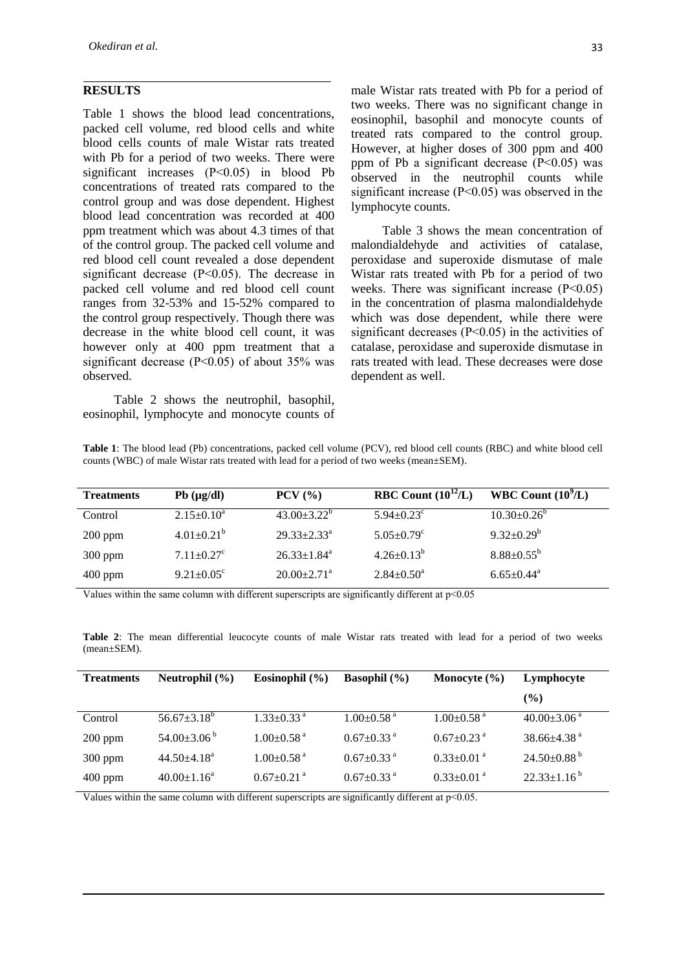#### **RESULTS**

Table 1 shows the blood lead concentrations, packed cell volume, red blood cells and white blood cells counts of male Wistar rats treated with Pb for a period of two weeks. There were significant increases (P˂0.05) in blood Pb concentrations of treated rats compared to the control group and was dose dependent. Highest blood lead concentration was recorded at 400 ppm treatment which was about 4.3 times of that of the control group. The packed cell volume and red blood cell count revealed a dose dependent significant decrease (P˂0.05). The decrease in packed cell volume and red blood cell count ranges from 32-53% and 15-52% compared to the control group respectively. Though there was decrease in the white blood cell count, it was however only at 400 ppm treatment that a significant decrease  $(P<0.05)$  of about 35% was observed.

Table 2 shows the neutrophil, basophil, eosinophil, lymphocyte and monocyte counts of male Wistar rats treated with Pb for a period of two weeks. There was no significant change in eosinophil, basophil and monocyte counts of treated rats compared to the control group. However, at higher doses of 300 ppm and 400 ppm of Pb a significant decrease (P˂0.05) was observed in the neutrophil counts while significant increase (P˂0.05) was observed in the lymphocyte counts.

Table 3 shows the mean concentration of malondialdehyde and activities of catalase, peroxidase and superoxide dismutase of male Wistar rats treated with Pb for a period of two weeks. There was significant increase (P˂0.05) in the concentration of plasma malondialdehyde which was dose dependent, while there were significant decreases (P˂0.05) in the activities of catalase, peroxidase and superoxide dismutase in rats treated with lead. These decreases were dose dependent as well.

| Table 1: The blood lead (Pb) concentrations, packed cell volume (PCV), red blood cell counts (RBC) and white blood cell |  |  |  |
|-------------------------------------------------------------------------------------------------------------------------|--|--|--|
| counts (WBC) of male Wistar rats treated with lead for a period of two weeks (mean±SEM).                                |  |  |  |

| <b>Treatments</b> | $Pb$ ( $\mu$ g/dl)           | $PCV$ $(\frac{9}{6})$         | RBC Count $(10^{12}/L)$      | WBC Count $(10^9/L)$         |
|-------------------|------------------------------|-------------------------------|------------------------------|------------------------------|
| Control           | $2.15 \pm 0.10^a$            | $43.00 \pm 3.22^b$            | $5.94 \pm 0.23$ <sup>c</sup> | $10.30\pm0.26^{\circ}$       |
| $200$ ppm         | $4.01 \pm 0.21^b$            | $29.33 + 2.33^a$              | $5.05 \pm 0.79$ <sup>c</sup> | $9.32 \pm 0.29^b$            |
| $300$ ppm         | $7.11 \pm 0.27$ <sup>c</sup> | $26.33 \pm 1.84$ <sup>a</sup> | $4.26 \pm 0.13^b$            | $8.88 \pm 0.55^{\rm b}$      |
| $400$ ppm         | $9.21 \pm 0.05^{\circ}$      | $20.00+2.71^{\text{a}}$       | $2.84 \pm 0.50^{\circ}$      | $6.65 \pm 0.44$ <sup>a</sup> |

Values within the same column with different superscripts are significantly different at  $p<0.05$ 

**Table 2**: The mean differential leucocyte counts of male Wistar rats treated with lead for a period of two weeks (mean±SEM).

| <b>Treatments</b> | Neutrophil $(\% )$          | Eosinophil $(\% )$           | <b>Basophil</b> $(\% )$      | Monocyte $(\% )$             | Lymphocyte                    |
|-------------------|-----------------------------|------------------------------|------------------------------|------------------------------|-------------------------------|
|                   |                             |                              |                              |                              | $\frac{6}{2}$                 |
| Control           | $56.67 \pm 3.18^b$          | $1.33 \pm 0.33$ <sup>a</sup> | $1.00 \pm 0.58$ <sup>a</sup> | $1.00 \pm 0.58$ <sup>a</sup> | $40.00\pm3.06$ <sup>a</sup>   |
| $200$ ppm         | 54.00 $\pm$ 3.06 $^{\circ}$ | $1.00 \pm 0.58$ <sup>a</sup> | $0.67 \pm 0.33$ <sup>a</sup> | $0.67 \pm 0.23$ <sup>a</sup> | $38.66\pm4.38$ <sup>a</sup>   |
| $300$ ppm         | $44.50 + 4.18^a$            | $1.00 \pm 0.58$ <sup>a</sup> | $0.67 \pm 0.33$ <sup>a</sup> | $0.33 \pm 0.01$ <sup>a</sup> | $24.50\pm0.88^{\mathrm{b}}$   |
| $400$ ppm         | $40.00 \pm 1.16^{\text{a}}$ | $0.67 \pm 0.21$ <sup>a</sup> | $0.67 \pm 0.33$ <sup>a</sup> | $0.33 \pm 0.01$ <sup>a</sup> | $22.33 \pm 1.16^{\mathrm{b}}$ |

Values within the same column with different superscripts are significantly different at p˂0.05.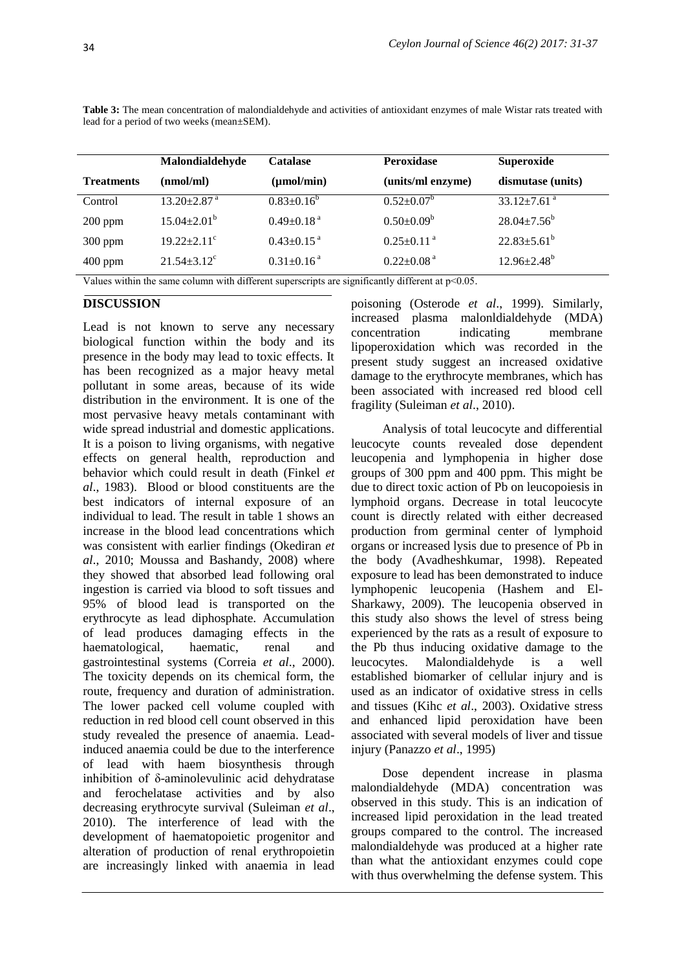lead for a period of two weeks (mean±SEM).

**Table 3:** The mean concentration of malondialdehyde and activities of antioxidant enzymes of male Wistar rats treated with

|                   | Malondialdehyde               | Catalase                     | <b>Peroxidase</b>            | <b>Superoxide</b>           |
|-------------------|-------------------------------|------------------------------|------------------------------|-----------------------------|
| <b>Treatments</b> | (nmol/ml)                     | $(\mu \text{mol/min})$       | (units/ml enzyme)            | dismutase (units)           |
| Control           | $13.20 \pm 2.87$ <sup>a</sup> | $0.83 \pm 0.16^b$            | $0.52 \pm 0.07^b$            | 33.12 $\pm$ 7.61 $^{\rm a}$ |
| $200$ ppm         | $15.04 \pm 2.01^{\rm b}$      | $0.49 \pm 0.18$ <sup>a</sup> | $0.50 \pm 0.09^b$            | $28.04 \pm 7.56^{\circ}$    |
| $300$ ppm         | $19.22 \pm 2.11$ <sup>c</sup> | $0.43 \pm 0.15$ <sup>a</sup> | $0.25 \pm 0.11$ <sup>a</sup> | $22.83 \pm 5.61^b$          |
| $400$ ppm         | $21.54 \pm 3.12$ <sup>c</sup> | $0.31 \pm 0.16$ <sup>a</sup> | $0.22 \pm 0.08$ <sup>a</sup> | $12.96 \pm 2.48^b$          |

Values within the same column with different superscripts are significantly different at p˂0.05.

#### **DISCUSSION**

Lead is not known to serve any necessary biological function within the body and its presence in the body may lead to toxic effects. It has been recognized as a major heavy metal pollutant in some areas, because of its wide distribution in the environment. It is one of the most pervasive heavy metals contaminant with wide spread industrial and domestic applications. It is a poison to living organisms, with negative effects on general health, reproduction and behavior which could result in death (Finkel *et al*., 1983). Blood or blood constituents are the best indicators of internal exposure of an individual to lead. The result in table 1 shows an increase in the blood lead concentrations which was consistent with earlier findings (Okediran *et al*., 2010; Moussa and Bashandy, 2008) where they showed that absorbed lead following oral ingestion is carried via blood to soft tissues and 95% of blood lead is transported on the erythrocyte as lead diphosphate. Accumulation of lead produces damaging effects in the haematological, haematic, renal and gastrointestinal systems (Correia *et al*., 2000). The toxicity depends on its chemical form, the route, frequency and duration of administration. The lower packed cell volume coupled with reduction in red blood cell count observed in this study revealed the presence of anaemia. Leadinduced anaemia could be due to the interference of lead with haem biosynthesis through inhibition of δ-aminolevulinic acid dehydratase and ferochelatase activities and by also decreasing erythrocyte survival (Suleiman *et al*., 2010). The interference of lead with the development of haematopoietic progenitor and alteration of production of renal erythropoietin are increasingly linked with anaemia in lead

poisoning (Osterode *et al*., 1999). Similarly, increased plasma malonldialdehyde (MDA) concentration indicating membrane lipoperoxidation which was recorded in the present study suggest an increased oxidative damage to the erythrocyte membranes, which has been associated with increased red blood cell fragility (Suleiman *et al*., 2010).

Analysis of total leucocyte and differential leucocyte counts revealed dose dependent leucopenia and lymphopenia in higher dose groups of 300 ppm and 400 ppm. This might be due to direct toxic action of Pb on leucopoiesis in lymphoid organs. Decrease in total leucocyte count is directly related with either decreased production from germinal center of lymphoid organs or increased lysis due to presence of Pb in the body (Avadheshkumar, 1998). Repeated exposure to lead has been demonstrated to induce lymphopenic leucopenia (Hashem and El-Sharkawy, 2009). The leucopenia observed in this study also shows the level of stress being experienced by the rats as a result of exposure to the Pb thus inducing oxidative damage to the leucocytes. Malondialdehyde is a well established biomarker of cellular injury and is used as an indicator of oxidative stress in cells and tissues (Kihc *et al*., 2003). Oxidative stress and enhanced lipid peroxidation have been associated with several models of liver and tissue injury (Panazzo *et al*., 1995)

Dose dependent increase in plasma malondialdehyde (MDA) concentration was observed in this study. This is an indication of increased lipid peroxidation in the lead treated groups compared to the control. The increased malondialdehyde was produced at a higher rate than what the antioxidant enzymes could cope with thus overwhelming the defense system. This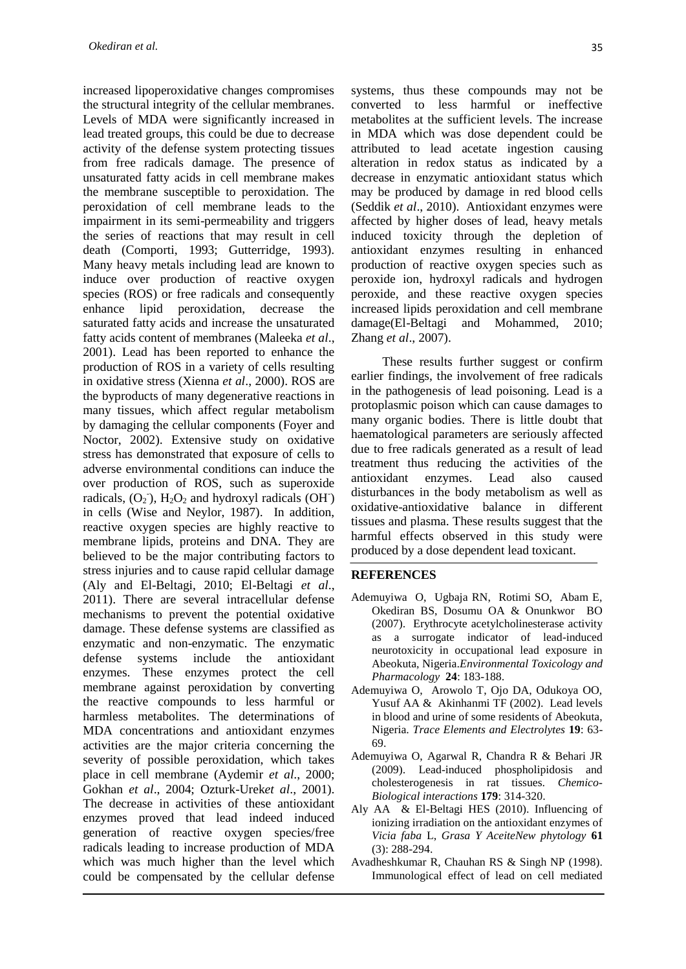increased lipoperoxidative changes compromises the structural integrity of the cellular membranes. Levels of MDA were significantly increased in lead treated groups, this could be due to decrease activity of the defense system protecting tissues from free radicals damage. The presence of unsaturated fatty acids in cell membrane makes the membrane susceptible to peroxidation. The peroxidation of cell membrane leads to the impairment in its semi-permeability and triggers the series of reactions that may result in cell death (Comporti, 1993; Gutterridge, 1993). Many heavy metals including lead are known to induce over production of reactive oxygen species (ROS) or free radicals and consequently enhance lipid peroxidation, decrease the saturated fatty acids and increase the unsaturated fatty acids content of membranes (Maleeka *et al*., 2001). Lead has been reported to enhance the production of ROS in a variety of cells resulting in oxidative stress (Xienna *et al*., 2000). ROS are the byproducts of many degenerative reactions in many tissues, which affect regular metabolism by damaging the cellular components (Foyer and Noctor, 2002). Extensive study on oxidative stress has demonstrated that exposure of cells to adverse environmental conditions can induce the over production of ROS, such as superoxide radicals,  $(O_2)$ ,  $H_2O_2$  and hydroxyl radicals (OH) in cells (Wise and Neylor, 1987). In addition, reactive oxygen species are highly reactive to membrane lipids, proteins and DNA. They are believed to be the major contributing factors to stress injuries and to cause rapid cellular damage (Aly and El-Beltagi, 2010; El-Beltagi *et al*., 2011). There are several intracellular defense mechanisms to prevent the potential oxidative damage. These defense systems are classified as enzymatic and non-enzymatic. The enzymatic defense systems include the antioxidant enzymes. These enzymes protect the cell membrane against peroxidation by converting the reactive compounds to less harmful or harmless metabolites. The determinations of MDA concentrations and antioxidant enzymes activities are the major criteria concerning the severity of possible peroxidation, which takes place in cell membrane (Aydemir *et al*., 2000; Gokhan *et al*., 2004; Ozturk-Urek*et al*., 2001). The decrease in activities of these antioxidant enzymes proved that lead indeed induced generation of reactive oxygen species/free radicals leading to increase production of MDA which was much higher than the level which could be compensated by the cellular defense

systems, thus these compounds may not be converted to less harmful or ineffective metabolites at the sufficient levels. The increase in MDA which was dose dependent could be attributed to lead acetate ingestion causing alteration in redox status as indicated by a decrease in enzymatic antioxidant status which may be produced by damage in red blood cells (Seddik *et al*., 2010). Antioxidant enzymes were affected by higher doses of lead, heavy metals induced toxicity through the depletion of antioxidant enzymes resulting in enhanced production of reactive oxygen species such as peroxide ion, hydroxyl radicals and hydrogen peroxide, and these reactive oxygen species increased lipids peroxidation and cell membrane damage(El-Beltagi and Mohammed, 2010; Zhang *et al*., 2007).

These results further suggest or confirm earlier findings, the involvement of free radicals in the pathogenesis of lead poisoning. Lead is a protoplasmic poison which can cause damages to many organic bodies. There is little doubt that haematological parameters are seriously affected due to free radicals generated as a result of lead treatment thus reducing the activities of the antioxidant enzymes. Lead also caused disturbances in the body metabolism as well as oxidative-antioxidative balance in different tissues and plasma. These results suggest that the harmful effects observed in this study were produced by a dose dependent lead toxicant.

#### **REFERENCES**

- Ademuyiwa O, Ugbaja RN, Rotimi SO, Abam E, Okediran BS, Dosumu OA & Onunkwor BO (2007). Erythrocyte acetylcholinesterase activity as a surrogate indicator of lead-induced neurotoxicity in occupational lead exposure in Abeokuta, Nigeria.*Environmental Toxicology and Pharmacology* **24**: 183-188.
- Ademuyiwa O, Arowolo T, Ojo DA, Odukoya OO, Yusuf AA & Akinhanmi TF (2002). Lead levels in blood and urine of some residents of Abeokuta, Nigeria. *Trace Elements and Electrolytes* **19**: 63- 69.
- Ademuyiwa O, Agarwal R, Chandra R & Behari JR (2009). Lead-induced phospholipidosis and cholesterogenesis in rat tissues. *Chemico-Biological interactions* **179**: 314-320.
- Aly AA & El-Beltagi HES (2010). Influencing of ionizing irradiation on the antioxidant enzymes of *Vicia faba* L, *Grasa Y AceiteNew phytology* **61** (3): 288-294.
- Avadheshkumar R, Chauhan RS & Singh NP (1998). Immunological effect of lead on cell mediated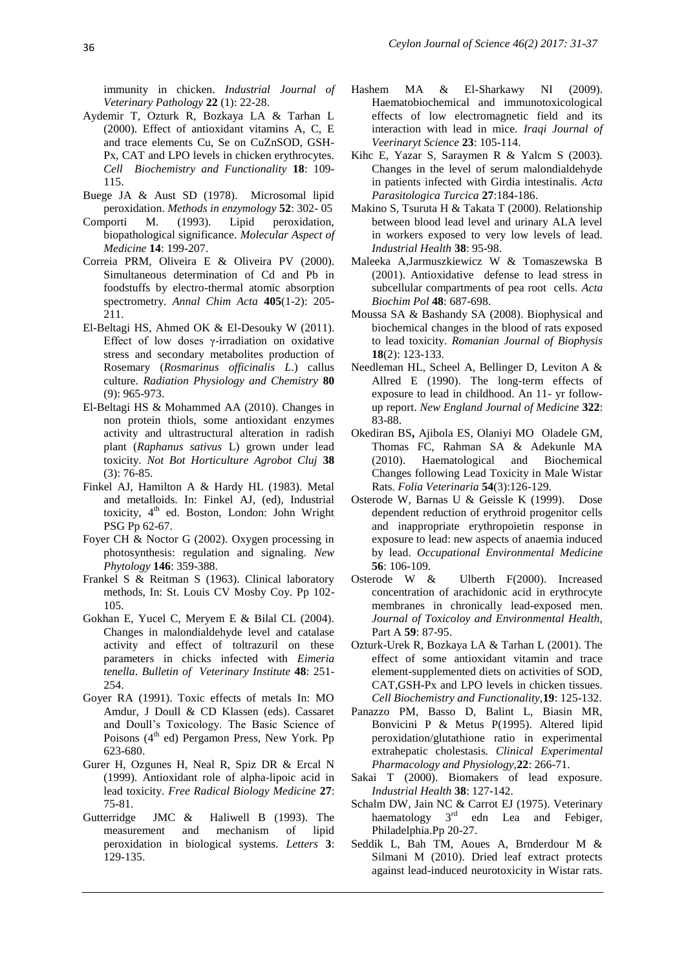immunity in chicken. *Industrial Journal of Veterinary Pathology* **22** (1): 22-28.

- Aydemir T, Ozturk R, Bozkaya LA & Tarhan L (2000). Effect of antioxidant vitamins A, C, E and trace elements Cu, Se on CuZnSOD, GSH-Px, CAT and LPO levels in chicken erythrocytes. *Cell Biochemistry and Functionality* **18**: 109- 115.
- Buege JA & Aust SD (1978). Microsomal lipid peroxidation. *Methods in enzymology* **52**: 302- 05
- Comporti M. (1993). Lipid peroxidation, biopathological significance. *Molecular Aspect of Medicine* **14**: 199-207.
- Correia PRM, Oliveira E & Oliveira PV (2000). Simultaneous determination of Cd and Pb in foodstuffs by electro-thermal atomic absorption spectrometry. *Annal Chim Acta* **405**(1-2): 205- 211.
- El-Beltagi HS, Ahmed OK & El-Desouky W (2011). Effect of low doses  $\gamma$ -irradiation on oxidative stress and secondary metabolites production of Rosemary (*Rosmarinus officinalis L*.) callus culture. *Radiation Physiology and Chemistry* **80** (9): 965-973.
- El-Beltagi HS & Mohammed AA (2010). Changes in non protein thiols, some antioxidant enzymes activity and ultrastructural alteration in radish plant (*Raphanus sativus* L) grown under lead toxicity. *Not Bot Horticulture Agrobot Cluj* **38** (3): 76-85.
- Finkel AJ, Hamilton A & Hardy HL (1983). Metal and metalloids. In: Finkel AJ, (ed), Industrial toxicity,  $4<sup>th</sup>$  ed. Boston, London: John Wright PSG Pp 62-67.
- Foyer CH & Noctor G (2002). Oxygen processing in photosynthesis: regulation and signaling. *New Phytology* **146**: 359-388.
- Frankel S & Reitman S (1963). Clinical laboratory methods, In: St. Louis CV Mosby Coy. Pp 102- 105.
- Gokhan E, Yucel C, Meryem E & Bilal CL (2004). Changes in malondialdehyde level and catalase activity and effect of toltrazuril on these parameters in chicks infected with *Eimeria tenella*. *Bulletin of Veterinary Institute* **48**: 251- 254.
- Goyer RA (1991). Toxic effects of metals In: MO Amdur, J Doull & CD Klassen (eds). Cassaret and Doull's Toxicology. The Basic Science of Poisons  $(4<sup>th</sup>$  ed) Pergamon Press, New York. Pp 623-680.
- Gurer H, Ozgunes H, Neal R, Spiz DR & Ercal N (1999). Antioxidant role of alpha-lipoic acid in lead toxicity. *Free Radical Biology Medicine* **27**: 75-81.
- Gutterridge JMC & Haliwell B (1993). The measurement and mechanism of lipid peroxidation in biological systems. *Letters* **3**: 129-135.
- Hashem MA & El-Sharkawy NI (2009). Haematobiochemical and immunotoxicological effects of low electromagnetic field and its interaction with lead in mice. *Iraqi Journal of Veerinaryt Science* **23**: 105-114.
- Kihc E, Yazar S, Saraymen R & Yalcm S (2003). Changes in the level of serum malondialdehyde in patients infected with Girdia intestinalis. *Acta Parasitologica Turcica* **27**:184-186.
- Makino S, Tsuruta H & Takata T (2000). Relationship between blood lead level and urinary ALA level in workers exposed to very low levels of lead. *Industrial Health* **38**: 95-98.
- Maleeka A,Jarmuszkiewicz W & Tomaszewska B (2001). Antioxidative defense to lead stress in subcellular compartments of pea root cells. *Acta Biochim Pol* **48**: 687-698.
- Moussa SA & Bashandy SA (2008). Biophysical and biochemical changes in the blood of rats exposed to lead toxicity. *Romanian Journal of Biophysis* **18**(2): 123-133.
- Needleman HL, Scheel A, Bellinger D, Leviton A & Allred E (1990). The long-term effects of exposure to lead in childhood. An 11- yr followup report. *New England Journal of Medicine* **322**: 83-88.
- Okediran BS**,** Ajibola ES, Olaniyi MO Oladele GM, Thomas FC, Rahman SA & Adekunle MA (2010). Haematological and Biochemical Changes following Lead Toxicity in Male Wistar Rats. *Folia Veterinaria* **54**(3):126-129.
- Osterode W, Barnas U & Geissle K (1999). Dose dependent reduction of erythroid progenitor cells and inappropriate erythropoietin response in exposure to lead: new aspects of anaemia induced by lead. *Occupational Environmental Medicine*  **56**: 106-109.
- Osterode W & Ulberth F(2000). Increased concentration of arachidonic acid in erythrocyte membranes in chronically lead-exposed men. *Journal of Toxicoloy and Environmental Health,* Part A **59**: 87-95.
- Ozturk-Urek R, Bozkaya LA & Tarhan L (2001). The effect of some antioxidant vitamin and trace element-supplemented diets on activities of SOD, CAT,GSH-Px and LPO levels in chicken tissues. *Cell Biochemistry and Functionality,***19**: 125-132.
- Panazzo PM, Basso D, Balint L, Biasin MR, Bonvicini P & Metus P(1995). Altered lipid peroxidation/glutathione ratio in experimental extrahepatic cholestasis*. Clinical Experimental Pharmacology and Physiology,***22**: 266-71.
- Sakai T (2000). Biomakers of lead exposure. *Industrial Health* **38**: 127-142.
- Schalm DW, Jain NC & Carrot EJ (1975). Veterinary haematology 3<sup>rd</sup> edn Lea and Febiger, Philadelphia.Pp 20-27.
- Seddik L, Bah TM, Aoues A, Brnderdour M & Silmani M (2010). Dried leaf extract protects against lead-induced neurotoxicity in Wistar rats.